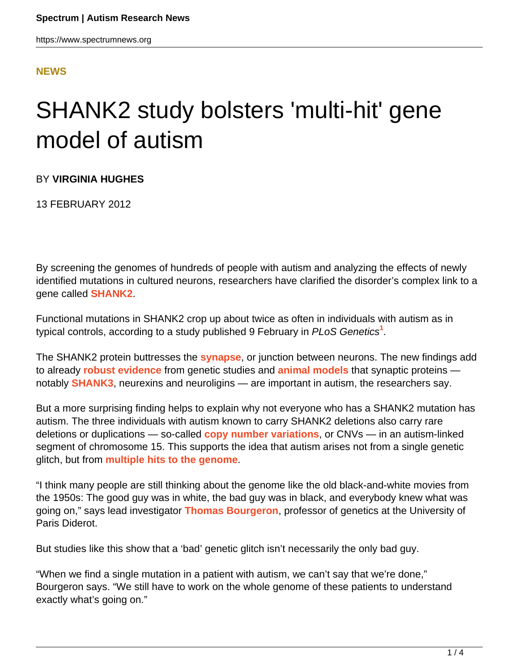#### **[NEWS](HTTPS://WWW.SPECTRUMNEWS.ORG/NEWS/)**

# SHANK2 study bolsters 'multi-hit' gene model of autism

BY **VIRGINIA HUGHES**

13 FEBRUARY 2012

By screening the genomes of hundreds of people with autism and analyzing the effects of newly identified mutations in cultured neurons, researchers have clarified the disorder's complex link to a gene called **[SHANK2](https://gene.sfari.org/GeneDetail/SHANK2#HG)**.

Functional mutations in SHANK2 crop up about twice as often in individuals with autism as in typical controls, according to a study published 9 February in PLoS Genetics**<sup>1</sup>** .

The SHANK2 protein buttresses the **[synapse](https://www.spectrumnews.org/wiki/synapse)**, or junction between neurons. The new findings add to already **[robust evidence](https://www.spectrumnews.org/directors-columns/2009/directors-column-the-gene-cognition-gap)** from genetic studies and **[animal models](https://www.spectrumnews.org/news/2011/new-shank3-mouse-shows-autism-like-features)** that synaptic proteins notably **[SHANK3](https://gene.sfari.org/humangene/detail/SHANK3)**, neurexins and neuroligins — are important in autism, the researchers say.

But a more surprising finding helps to explain why not everyone who has a SHANK2 mutation has autism. The three individuals with autism known to carry SHANK2 deletions also carry rare deletions or duplications — so-called **[copy number variations](https://www.spectrumnews.org/wiki/copy-number-variation)**, or CNVs — in an autism-linked segment of chromosome 15. This supports the idea that autism arises not from a single genetic glitch, but from **[multiple hits to the genome](https://www.spectrumnews.org/news/2011/family-sequencing-study-boosts-two-hit-model-of-autism)**.

"I think many people are still thinking about the genome like the old black-and-white movies from the 1950s: The good guy was in white, the bad guy was in black, and everybody knew what was going on," says lead investigator **[Thomas Bourgeron](http://www.ura2182.cnrs-bellevue.fr/ghfc/index.html)**, professor of genetics at the University of Paris Diderot.

But studies like this show that a 'bad' genetic glitch isn't necessarily the only bad guy.

"When we find a single mutation in a patient with autism, we can't say that we're done," Bourgeron says. "We still have to work on the whole genome of these patients to understand exactly what's going on."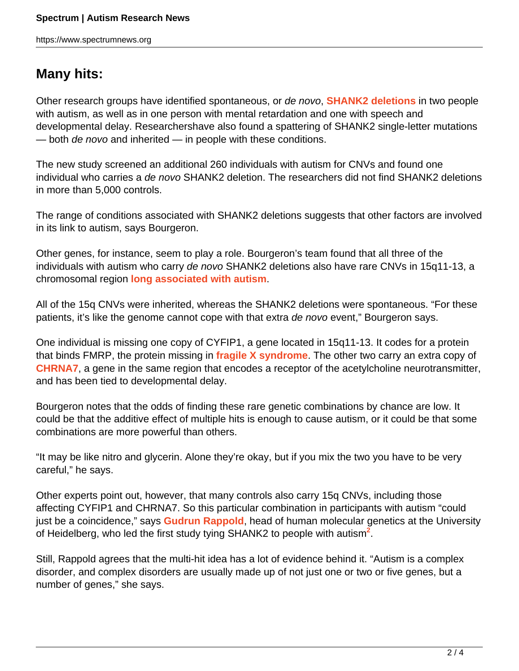## **Many hits:**

Other research groups have identified spontaneous, or de novo, **[SHANK2 deletions](https://www.spectrumnews.org/news/2010/synaptic-defects-link-autism-schizophrenia)** in two people with autism, as well as in one person with mental retardation and one with speech and developmental delay. Researchershave also found a spattering of SHANK2 single-letter mutations — both de novo and inherited — in people with these conditions.

The new study screened an additional 260 individuals with autism for CNVs and found one individual who carries a de novo SHANK2 deletion. The researchers did not find SHANK2 deletions in more than 5,000 controls.

The range of conditions associated with SHANK2 deletions suggests that other factors are involved in its link to autism, says Bourgeron.

Other genes, for instance, seem to play a role. Bourgeron's team found that all three of the individuals with autism who carry de novo SHANK2 deletions also have rare CNVs in 15q11-13, a chromosomal region **[long associated with autism](https://www.spectrumnews.org/news/2009/autism-mouse-model-debuts-with-common-genetic-flaw)**.

All of the 15q CNVs were inherited, whereas the SHANK2 deletions were spontaneous. "For these patients, it's like the genome cannot cope with that extra de novo event," Bourgeron says.

One individual is missing one copy of CYFIP1, a gene located in 15q11-13. It codes for a protein that binds FMRP, the protein missing in **[fragile X syndrome](https://www.spectrumnews.org/wiki/fragile-x)**. The other two carry an extra copy of **[CHRNA7](https://gene.sfari.org/GeneDetail/CHRNA7#HG)**, a gene in the same region that encodes a receptor of the acetylcholine neurotransmitter, and has been tied to developmental delay.

Bourgeron notes that the odds of finding these rare genetic combinations by chance are low. It could be that the additive effect of multiple hits is enough to cause autism, or it could be that some combinations are more powerful than others.

"It may be like nitro and glycerin. Alone they're okay, but if you mix the two you have to be very careful," he says.

Other experts point out, however, that many controls also carry 15q CNVs, including those affecting CYFIP1 and CHRNA7. So this particular combination in participants with autism "could just be a coincidence," says **[Gudrun Rappold](http://www.klinikum.uni-heidelberg.de/Rappold-G.6854.0.html)**, head of human molecular genetics at the University of Heidelberg, who led the first study tying SHANK2 to people with autism**<sup>2</sup>** .

Still, Rappold agrees that the multi-hit idea has a lot of evidence behind it. "Autism is a complex disorder, and complex disorders are usually made up of not just one or two or five genes, but a number of genes," she says.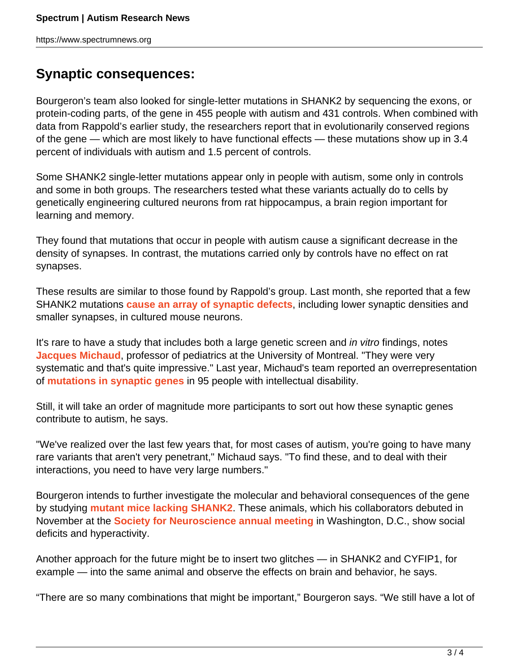### **Synaptic consequences:**

Bourgeron's team also looked for single-letter mutations in SHANK2 by sequencing the exons, or protein-coding parts, of the gene in 455 people with autism and 431 controls. When combined with data from Rappold's earlier study, the researchers report that in evolutionarily conserved regions of the gene — which are most likely to have functional effects — these mutations show up in 3.4 percent of individuals with autism and 1.5 percent of controls.

Some SHANK2 single-letter mutations appear only in people with autism, some only in controls and some in both groups. The researchers tested what these variants actually do to cells by genetically engineering cultured neurons from rat hippocampus, a brain region important for learning and memory.

They found that mutations that occur in people with autism cause a significant decrease in the density of synapses. In contrast, the mutations carried only by controls have no effect on rat synapses.

These results are similar to those found by Rappold's group. Last month, she reported that a few SHANK2 mutations **[cause an array of synaptic defects](https://www.spectrumnews.org/in-brief/2011/molecular-mechanisms-shank2-mutants-alter-synapses)**, including lower synaptic densities and smaller synapses, in cultured mouse neurons.

It's rare to have a study that includes both a large genetic screen and *in vitro* findings, notes **[Jacques Michaud](http://www.cenum.umontreal.ca/membres/2_titulaires/en_michaud_j.html)**, professor of pediatrics at the University of Montreal. "They were very systematic and that's quite impressive." Last year, Michaud's team reported an overrepresentation of **[mutations in synaptic genes](https://www.spectrumnews.org/in-brief/2011/genetics-pathway-links-autism-intellectual-disability)** in 95 people with intellectual disability.

Still, it will take an order of magnitude more participants to sort out how these synaptic genes contribute to autism, he says.

"We've realized over the last few years that, for most cases of autism, you're going to have many rare variants that aren't very penetrant," Michaud says. "To find these, and to deal with their interactions, you need to have very large numbers."

Bourgeron intends to further investigate the molecular and behavioral consequences of the gene by studying **[mutant mice lacking SHANK2](https://www.spectrumnews.org/conference-news/2011/society-for-neuroscience-2011/researchers-debut-shank2-mouse-shank3-rat)**. These animals, which his collaborators debuted in November at the **[Society for Neuroscience annual meeting](../../../../news-and-opinion/conference-news/2011/society-for-neuroscience-2011)** in Washington, D.C., show social deficits and hyperactivity.

Another approach for the future might be to insert two glitches — in SHANK2 and CYFIP1, for example — into the same animal and observe the effects on brain and behavior, he says.

"There are so many combinations that might be important," Bourgeron says. "We still have a lot of